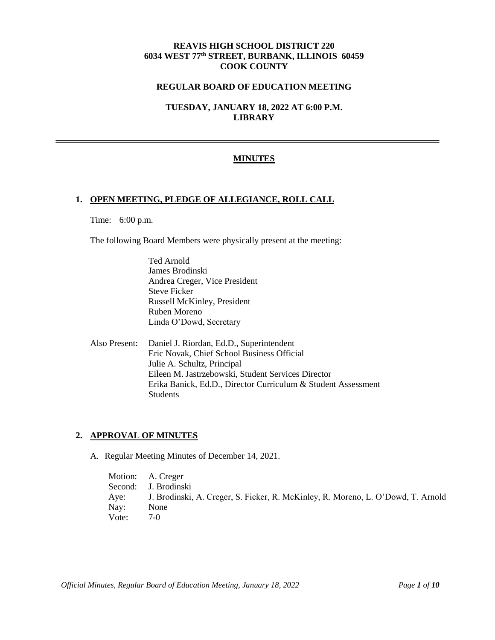# **REAVIS HIGH SCHOOL DISTRICT 220 6034 WEST 77th STREET, BURBANK, ILLINOIS 60459 COOK COUNTY**

## **REGULAR BOARD OF EDUCATION MEETING**

**TUESDAY, JANUARY 18, 2022 AT 6:00 P.M. LIBRARY**

## **MINUTES**

#### **1. OPEN MEETING, PLEDGE OF ALLEGIANCE, ROLL CALL**

Time: 6:00 p.m.

The following Board Members were physically present at the meeting:

Ted Arnold James Brodinski Andrea Creger, Vice President Steve Ficker Russell McKinley, President Ruben Moreno Linda O'Dowd, Secretary

Also Present: Daniel J. Riordan, Ed.D., Superintendent Eric Novak, Chief School Business Official Julie A. Schultz, Principal Eileen M. Jastrzebowski, Student Services Director Erika Banick, Ed.D., Director Curriculum & Student Assessment **Students** 

#### **2. APPROVAL OF MINUTES**

A. Regular Meeting Minutes of December 14, 2021.

Motion: A. Creger Second: J. Brodinski Aye: J. Brodinski, A. Creger, S. Ficker, R. McKinley, R. Moreno, L. O'Dowd, T. Arnold Nay: None Vote: 7-0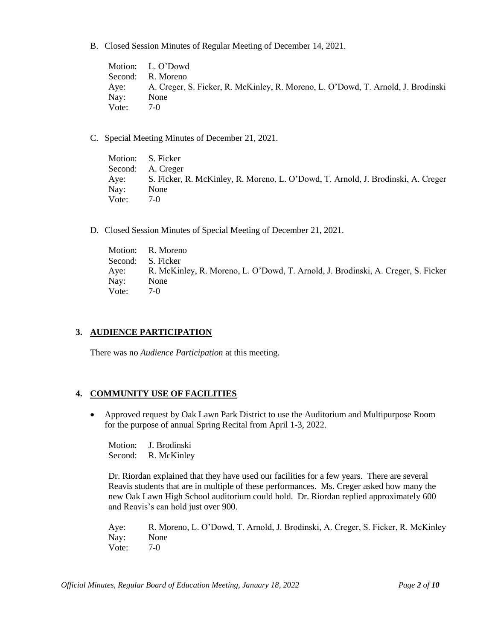B. Closed Session Minutes of Regular Meeting of December 14, 2021.

Motion: L. O'Dowd Second: R. Moreno Aye: A. Creger, S. Ficker, R. McKinley, R. Moreno, L. O'Dowd, T. Arnold, J. Brodinski Nay: None Vote: 7-0

C. Special Meeting Minutes of December 21, 2021.

Motion: S. Ficker Second: A. Creger Aye: S. Ficker, R. McKinley, R. Moreno, L. O'Dowd, T. Arnold, J. Brodinski, A. Creger Nay: None Vote: 7-0

D. Closed Session Minutes of Special Meeting of December 21, 2021.

Motion: R. Moreno Second: S. Ficker Aye: R. McKinley, R. Moreno, L. O'Dowd, T. Arnold, J. Brodinski, A. Creger, S. Ficker Nay: None Vote: 7-0

# **3. AUDIENCE PARTICIPATION**

There was no *Audience Participation* at this meeting.

# **4. COMMUNITY USE OF FACILITIES**

• Approved request by Oak Lawn Park District to use the Auditorium and Multipurpose Room for the purpose of annual Spring Recital from April 1-3, 2022.

Motion: J. Brodinski Second: R. McKinley

Dr. Riordan explained that they have used our facilities for a few years. There are several Reavis students that are in multiple of these performances. Ms. Creger asked how many the new Oak Lawn High School auditorium could hold. Dr. Riordan replied approximately 600 and Reavis's can hold just over 900.

Aye: R. Moreno, L. O'Dowd, T. Arnold, J. Brodinski, A. Creger, S. Ficker, R. McKinley Nay: None Vote: 7-0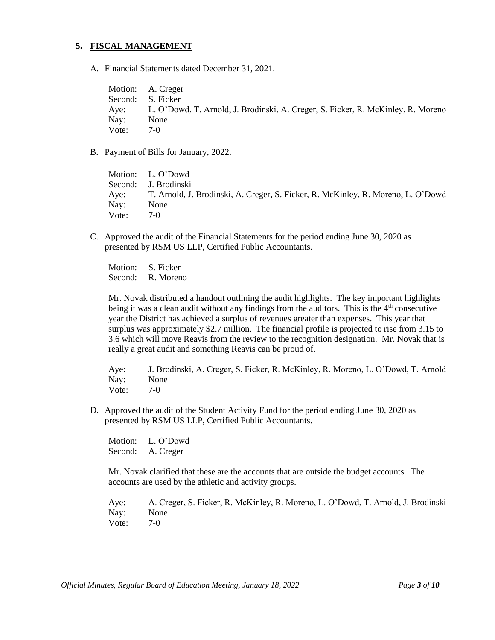# **5. FISCAL MANAGEMENT**

A. Financial Statements dated December 31, 2021.

Motion: A. Creger Second: S. Ficker Aye: L. O'Dowd, T. Arnold, J. Brodinski, A. Creger, S. Ficker, R. McKinley, R. Moreno Nay: None Vote: 7-0

B. Payment of Bills for January, 2022.

Motion: L. O'Dowd Second: J. Brodinski Aye: T. Arnold, J. Brodinski, A. Creger, S. Ficker, R. McKinley, R. Moreno, L. O'Dowd Nay: None Vote: 7-0

C. Approved the audit of the Financial Statements for the period ending June 30, 2020 as presented by RSM US LLP, Certified Public Accountants.

Motion: S. Ficker Second: R. Moreno

Mr. Novak distributed a handout outlining the audit highlights. The key important highlights being it was a clean audit without any findings from the auditors. This is the  $4<sup>th</sup>$  consecutive year the District has achieved a surplus of revenues greater than expenses. This year that surplus was approximately \$2.7 million. The financial profile is projected to rise from 3.15 to 3.6 which will move Reavis from the review to the recognition designation. Mr. Novak that is really a great audit and something Reavis can be proud of.

Aye: J. Brodinski, A. Creger, S. Ficker, R. McKinley, R. Moreno, L. O'Dowd, T. Arnold Nay: None Vote: 7-0

D. Approved the audit of the Student Activity Fund for the period ending June 30, 2020 as presented by RSM US LLP, Certified Public Accountants.

Motion: L. O'Dowd Second: A. Creger

Mr. Novak clarified that these are the accounts that are outside the budget accounts. The accounts are used by the athletic and activity groups.

Aye: A. Creger, S. Ficker, R. McKinley, R. Moreno, L. O'Dowd, T. Arnold, J. Brodinski Nay: None Vote: 7-0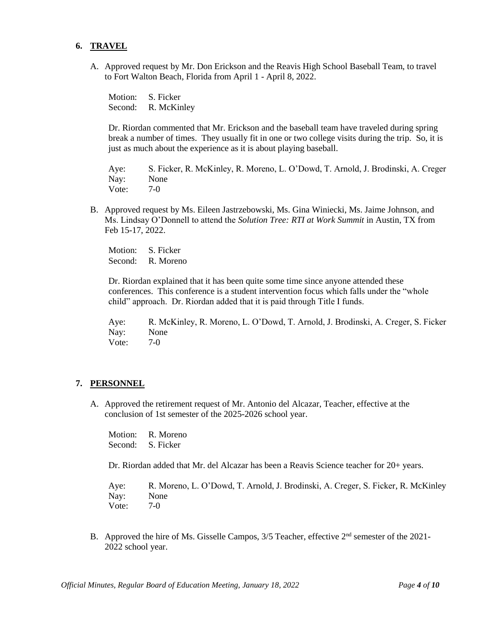## **6. TRAVEL**

A. Approved request by Mr. Don Erickson and the Reavis High School Baseball Team, to travel to Fort Walton Beach, Florida from April 1 - April 8, 2022.

Motion: S. Ficker Second: R. McKinley

Dr. Riordan commented that Mr. Erickson and the baseball team have traveled during spring break a number of times. They usually fit in one or two college visits during the trip. So, it is just as much about the experience as it is about playing baseball.

Aye: S. Ficker, R. McKinley, R. Moreno, L. O'Dowd, T. Arnold, J. Brodinski, A. Creger Nay: None Vote: 7-0

B. Approved request by Ms. Eileen Jastrzebowski, Ms. Gina Winiecki, Ms. Jaime Johnson, and Ms. Lindsay O'Donnell to attend the *Solution Tree: RTI at Work Summit* in Austin, TX from Feb 15-17, 2022.

Motion: S. Ficker Second: R. Moreno

Dr. Riordan explained that it has been quite some time since anyone attended these conferences. This conference is a student intervention focus which falls under the "whole child" approach. Dr. Riordan added that it is paid through Title I funds.

Aye: R. McKinley, R. Moreno, L. O'Dowd, T. Arnold, J. Brodinski, A. Creger, S. Ficker Nay: None Vote: 7-0

#### **7. PERSONNEL**

A. Approved the retirement request of Mr. Antonio del Alcazar, Teacher, effective at the conclusion of 1st semester of the 2025-2026 school year.

Motion: R. Moreno Second: S. Ficker

Dr. Riordan added that Mr. del Alcazar has been a Reavis Science teacher for 20+ years.

Aye: R. Moreno, L. O'Dowd, T. Arnold, J. Brodinski, A. Creger, S. Ficker, R. McKinley Nay: None Vote: 7-0

B. Approved the hire of Ms. Gisselle Campos, 3/5 Teacher, effective 2<sup>nd</sup> semester of the 2021-2022 school year.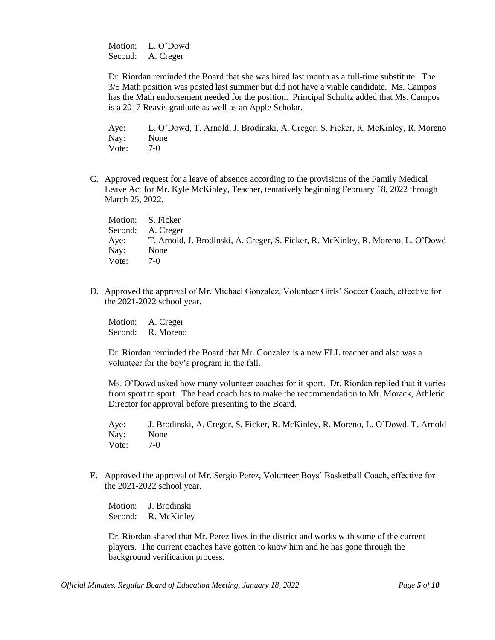Motion: L. O'Dowd Second: A. Creger

Dr. Riordan reminded the Board that she was hired last month as a full-time substitute. The 3/5 Math position was posted last summer but did not have a viable candidate. Ms. Campos has the Math endorsement needed for the position. Principal Schultz added that Ms. Campos is a 2017 Reavis graduate as well as an Apple Scholar.

Aye: L. O'Dowd, T. Arnold, J. Brodinski, A. Creger, S. Ficker, R. McKinley, R. Moreno Nay: None Vote: 7-0

C. Approved request for a leave of absence according to the provisions of the Family Medical Leave Act for Mr. Kyle McKinley, Teacher, tentatively beginning February 18, 2022 through March 25, 2022.

Motion: S. Ficker Second: A. Creger Aye: T. Arnold, J. Brodinski, A. Creger, S. Ficker, R. McKinley, R. Moreno, L. O'Dowd Nay: None Vote: 7-0

D. Approved the approval of Mr. Michael Gonzalez, Volunteer Girls' Soccer Coach, effective for the 2021-2022 school year.

Motion: A. Creger Second: R. Moreno

Dr. Riordan reminded the Board that Mr. Gonzalez is a new ELL teacher and also was a volunteer for the boy's program in the fall.

Ms. O'Dowd asked how many volunteer coaches for it sport. Dr. Riordan replied that it varies from sport to sport. The head coach has to make the recommendation to Mr. Morack, Athletic Director for approval before presenting to the Board.

Aye: J. Brodinski, A. Creger, S. Ficker, R. McKinley, R. Moreno, L. O'Dowd, T. Arnold Nay: None Vote: 7-0

E. Approved the approval of Mr. Sergio Perez, Volunteer Boys' Basketball Coach, effective for the 2021-2022 school year.

Motion: J. Brodinski Second: R. McKinley

Dr. Riordan shared that Mr. Perez lives in the district and works with some of the current players. The current coaches have gotten to know him and he has gone through the background verification process.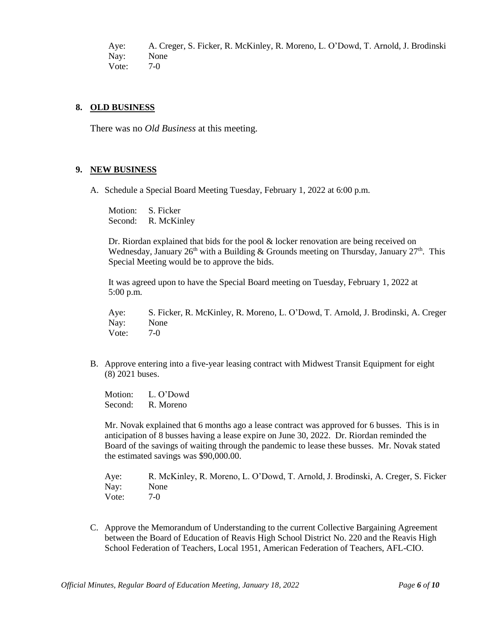Aye: A. Creger, S. Ficker, R. McKinley, R. Moreno, L. O'Dowd, T. Arnold, J. Brodinski Nay: None Vote: 7-0

#### **8. OLD BUSINESS**

There was no *Old Business* at this meeting.

#### **9. NEW BUSINESS**

A. Schedule a Special Board Meeting Tuesday, February 1, 2022 at 6:00 p.m.

Motion: S. Ficker Second: R. McKinley

Dr. Riordan explained that bids for the pool & locker renovation are being received on Wednesday, January 26<sup>th</sup> with a Building & Grounds meeting on Thursday, January  $27<sup>th</sup>$ . This Special Meeting would be to approve the bids.

It was agreed upon to have the Special Board meeting on Tuesday, February 1, 2022 at 5:00 p.m.

Aye: S. Ficker, R. McKinley, R. Moreno, L. O'Dowd, T. Arnold, J. Brodinski, A. Creger Nay: None Vote: 7-0

B. Approve entering into a five-year leasing contract with Midwest Transit Equipment for eight (8) 2021 buses.

Motion: L. O'Dowd Second: R. Moreno

Mr. Novak explained that 6 months ago a lease contract was approved for 6 busses. This is in anticipation of 8 busses having a lease expire on June 30, 2022. Dr. Riordan reminded the Board of the savings of waiting through the pandemic to lease these busses. Mr. Novak stated the estimated savings was \$90,000.00.

Aye: R. McKinley, R. Moreno, L. O'Dowd, T. Arnold, J. Brodinski, A. Creger, S. Ficker Nay: None Vote: 7-0

C. Approve the Memorandum of Understanding to the current Collective Bargaining Agreement between the Board of Education of Reavis High School District No. 220 and the Reavis High School Federation of Teachers, Local 1951, American Federation of Teachers, AFL-CIO.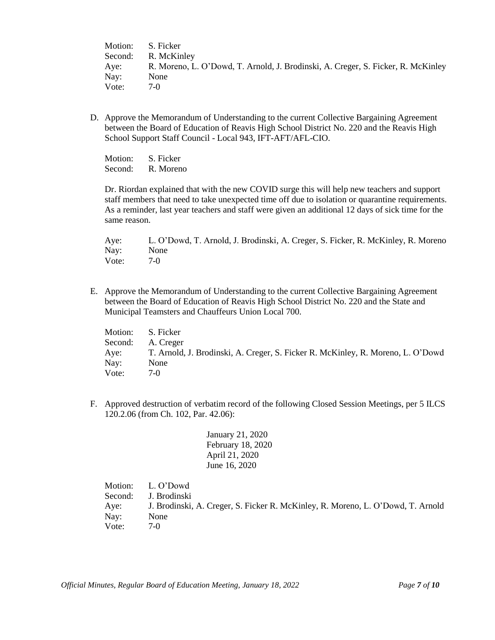| Motion: | S. Ficker                                                                        |
|---------|----------------------------------------------------------------------------------|
| Second: | R. McKinley                                                                      |
| Aye:    | R. Moreno, L. O'Dowd, T. Arnold, J. Brodinski, A. Creger, S. Ficker, R. McKinley |
| Nay:    | None                                                                             |
| Vote:   | $7-()$                                                                           |

D. Approve the Memorandum of Understanding to the current Collective Bargaining Agreement between the Board of Education of Reavis High School District No. 220 and the Reavis High School Support Staff Council - Local 943, IFT-AFT/AFL-CIO.

Motion: S. Ficker Second: R. Moreno

Dr. Riordan explained that with the new COVID surge this will help new teachers and support staff members that need to take unexpected time off due to isolation or quarantine requirements. As a reminder, last year teachers and staff were given an additional 12 days of sick time for the same reason.

Aye: L. O'Dowd, T. Arnold, J. Brodinski, A. Creger, S. Ficker, R. McKinley, R. Moreno Nay: None Vote: 7-0

E. Approve the Memorandum of Understanding to the current Collective Bargaining Agreement between the Board of Education of Reavis High School District No. 220 and the State and Municipal Teamsters and Chauffeurs Union Local 700.

Motion: S. Ficker Second: A. Creger Aye: T. Arnold, J. Brodinski, A. Creger, S. Ficker R. McKinley, R. Moreno, L. O'Dowd Nay: None Vote: 7-0

F. Approved destruction of verbatim record of the following Closed Session Meetings, per 5 ILCS 120.2.06 (from Ch. 102, Par. 42.06):

> January 21, 2020 February 18, 2020 April 21, 2020 June 16, 2020

Motion: L. O'Dowd Second: J. Brodinski Aye: J. Brodinski, A. Creger, S. Ficker R. McKinley, R. Moreno, L. O'Dowd, T. Arnold Nay: None Vote: 7-0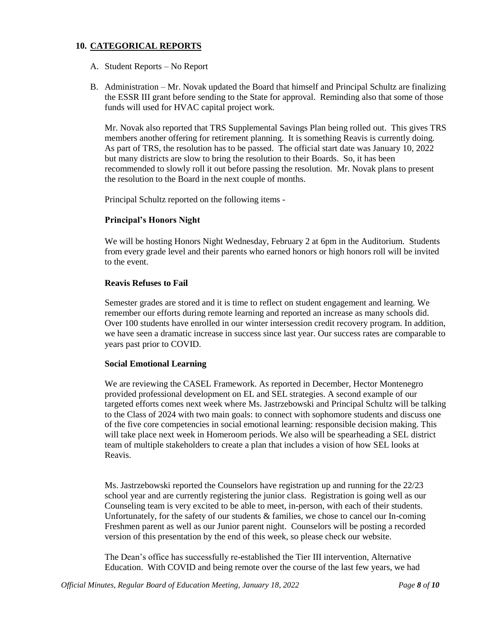# **10. CATEGORICAL REPORTS**

- A. Student Reports No Report
- B. Administration Mr. Novak updated the Board that himself and Principal Schultz are finalizing the ESSR III grant before sending to the State for approval. Reminding also that some of those funds will used for HVAC capital project work.

Mr. Novak also reported that TRS Supplemental Savings Plan being rolled out. This gives TRS members another offering for retirement planning. It is something Reavis is currently doing. As part of TRS, the resolution has to be passed. The official start date was January 10, 2022 but many districts are slow to bring the resolution to their Boards. So, it has been recommended to slowly roll it out before passing the resolution. Mr. Novak plans to present the resolution to the Board in the next couple of months.

Principal Schultz reported on the following items -

# **Principal's Honors Night**

We will be hosting Honors Night Wednesday, February 2 at 6pm in the Auditorium. Students from every grade level and their parents who earned honors or high honors roll will be invited to the event.

## **Reavis Refuses to Fail**

Semester grades are stored and it is time to reflect on student engagement and learning. We remember our efforts during remote learning and reported an increase as many schools did. Over 100 students have enrolled in our winter intersession credit recovery program. In addition, we have seen a dramatic increase in success since last year. Our success rates are comparable to years past prior to COVID.

# **Social Emotional Learning**

We are reviewing the CASEL Framework. As reported in December, Hector Montenegro provided professional development on EL and SEL strategies. A second example of our targeted efforts comes next week where Ms. Jastrzebowski and Principal Schultz will be talking to the Class of 2024 with two main goals: to connect with sophomore students and discuss one of the five core competencies in social emotional learning: responsible decision making. This will take place next week in Homeroom periods. We also will be spearheading a SEL district team of multiple stakeholders to create a plan that includes a vision of how SEL looks at Reavis.

Ms. Jastrzebowski reported the Counselors have registration up and running for the 22/23 school year and are currently registering the junior class. Registration is going well as our Counseling team is very excited to be able to meet, in-person, with each of their students. Unfortunately, for the safety of our students & families, we chose to cancel our In-coming Freshmen parent as well as our Junior parent night. Counselors will be posting a recorded version of this presentation by the end of this week, so please check our website.

The Dean's office has successfully re-established the Tier III intervention, Alternative Education. With COVID and being remote over the course of the last few years, we had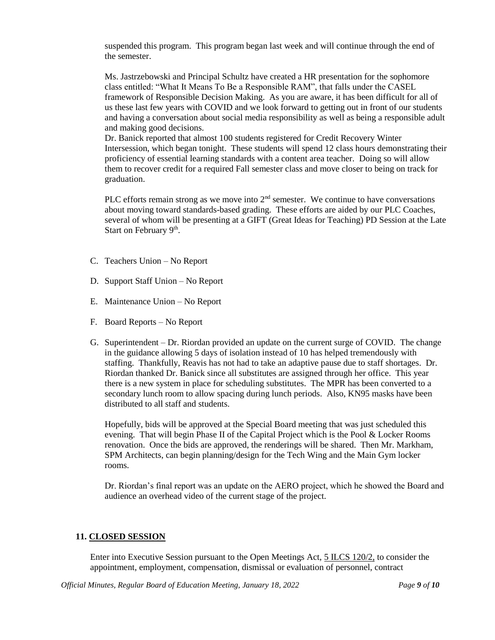suspended this program. This program began last week and will continue through the end of the semester.

Ms. Jastrzebowski and Principal Schultz have created a HR presentation for the sophomore class entitled: "What It Means To Be a Responsible RAM", that falls under the CASEL framework of Responsible Decision Making. As you are aware, it has been difficult for all of us these last few years with COVID and we look forward to getting out in front of our students and having a conversation about social media responsibility as well as being a responsible adult and making good decisions.

Dr. Banick reported that almost 100 students registered for Credit Recovery Winter Intersession, which began tonight. These students will spend 12 class hours demonstrating their proficiency of essential learning standards with a content area teacher. Doing so will allow them to recover credit for a required Fall semester class and move closer to being on track for graduation.

PLC efforts remain strong as we move into  $2<sup>nd</sup>$  semester. We continue to have conversations about moving toward standards-based grading. These efforts are aided by our PLC Coaches, several of whom will be presenting at a GIFT (Great Ideas for Teaching) PD Session at the Late Start on February 9<sup>th</sup>.

- C. Teachers Union No Report
- D. Support Staff Union No Report
- E. Maintenance Union No Report
- F. Board Reports No Report
- G. Superintendent Dr. Riordan provided an update on the current surge of COVID. The change in the guidance allowing 5 days of isolation instead of 10 has helped tremendously with staffing. Thankfully, Reavis has not had to take an adaptive pause due to staff shortages. Dr. Riordan thanked Dr. Banick since all substitutes are assigned through her office. This year there is a new system in place for scheduling substitutes. The MPR has been converted to a secondary lunch room to allow spacing during lunch periods. Also, KN95 masks have been distributed to all staff and students.

Hopefully, bids will be approved at the Special Board meeting that was just scheduled this evening. That will begin Phase II of the Capital Project which is the Pool & Locker Rooms renovation. Once the bids are approved, the renderings will be shared. Then Mr. Markham, SPM Architects, can begin planning/design for the Tech Wing and the Main Gym locker rooms.

Dr. Riordan's final report was an update on the AERO project, which he showed the Board and audience an overhead video of the current stage of the project.

# **11. CLOSED SESSION**

Enter into Executive Session pursuant to the Open Meetings Act, 5 ILCS 120/2, to consider the appointment, employment, compensation, dismissal or evaluation of personnel, contract